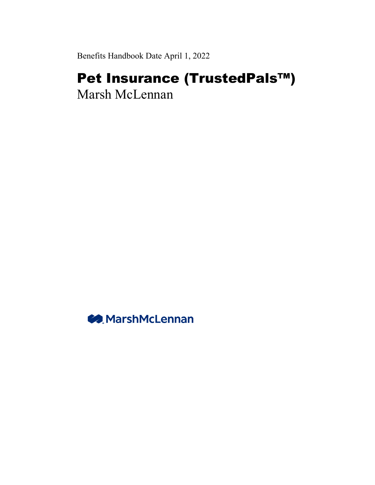Benefits Handbook Date April 1, 2022

# Pet Insurance (TrustedPals™) Marsh McLennan

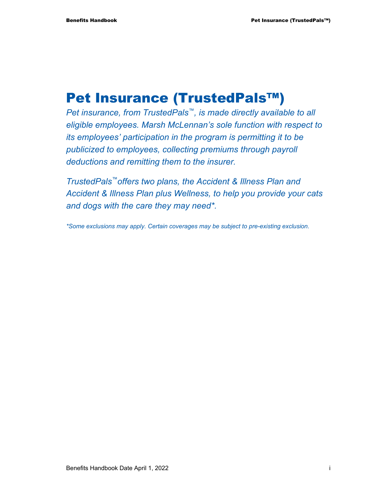## Pet Insurance (TrustedPals™)

*Pet insurance, from TrustedPals™, is made directly available to all eligible employees. Marsh McLennan's sole function with respect to its employees' participation in the program is permitting it to be publicized to employees, collecting premiums through payroll deductions and remitting them to the insurer.* 

*TrustedPals™offers two plans, the Accident & Illness Plan and Accident & Illness Plan plus Wellness, to help you provide your cats and dogs with the care they may need\*.* 

*\*Some exclusions may apply. Certain coverages may be subject to pre-existing exclusion.*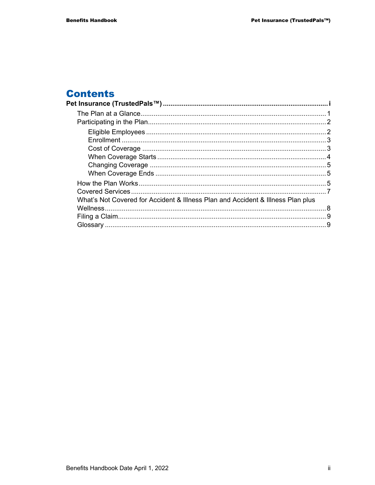#### **Contents**  $\overline{P_{\epsilon}}$

| What's Not Covered for Accident & Illness Plan and Accident & Illness Plan plus |  |
|---------------------------------------------------------------------------------|--|
|                                                                                 |  |
|                                                                                 |  |
|                                                                                 |  |
|                                                                                 |  |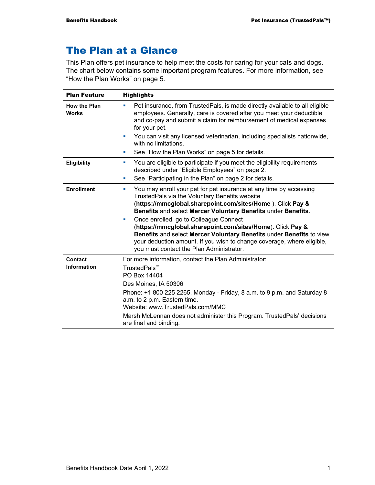## The Plan at a Glance

This Plan offers pet insurance to help meet the costs for caring for your cats and dogs. The chart below contains some important program features. For more information, see "How the Plan Works" on page 5.

| <b>Plan Feature</b>                 | <b>Highlights</b>                                                                                                                                                                                                                                                                                                                                                                                                                                                                                                                                                   |  |  |  |
|-------------------------------------|---------------------------------------------------------------------------------------------------------------------------------------------------------------------------------------------------------------------------------------------------------------------------------------------------------------------------------------------------------------------------------------------------------------------------------------------------------------------------------------------------------------------------------------------------------------------|--|--|--|
| <b>How the Plan</b><br><b>Works</b> | Pet insurance, from TrustedPals, is made directly available to all eligible<br>×<br>employees. Generally, care is covered after you meet your deductible<br>and co-pay and submit a claim for reimbursement of medical expenses<br>for your pet.                                                                                                                                                                                                                                                                                                                    |  |  |  |
|                                     | You can visit any licensed veterinarian, including specialists nationwide,<br>with no limitations.                                                                                                                                                                                                                                                                                                                                                                                                                                                                  |  |  |  |
|                                     | See "How the Plan Works" on page 5 for details.<br>×                                                                                                                                                                                                                                                                                                                                                                                                                                                                                                                |  |  |  |
| Eligibility                         | You are eligible to participate if you meet the eligibility requirements<br>ш<br>described under "Eligible Employees" on page 2.<br>See "Participating in the Plan" on page 2 for details.<br>×                                                                                                                                                                                                                                                                                                                                                                     |  |  |  |
| <b>Enrollment</b>                   | You may enroll your pet for pet insurance at any time by accessing<br>ш<br>TrustedPals via the Voluntary Benefits website<br>(https://mmcglobal.sharepoint.com/sites/Home). Click Pay &<br>Benefits and select Mercer Voluntary Benefits under Benefits.<br>Once enrolled, go to Colleague Connect<br>×<br>(https://mmcglobal.sharepoint.com/sites/Home). Click Pay &<br>Benefits and select Mercer Voluntary Benefits under Benefits to view<br>your deduction amount. If you wish to change coverage, where eligible,<br>you must contact the Plan Administrator. |  |  |  |
| Contact<br><b>Information</b>       | For more information, contact the Plan Administrator:<br>TrustedPals <sup>™</sup><br>PO Box 14404<br>Des Moines, IA 50306<br>Phone: +1 800 225 2265, Monday - Friday, 8 a.m. to 9 p.m. and Saturday 8<br>a.m. to 2 p.m. Eastern time.<br>Website: www.TrustedPals.com/MMC<br>Marsh McLennan does not administer this Program. TrustedPals' decisions<br>are final and binding.                                                                                                                                                                                      |  |  |  |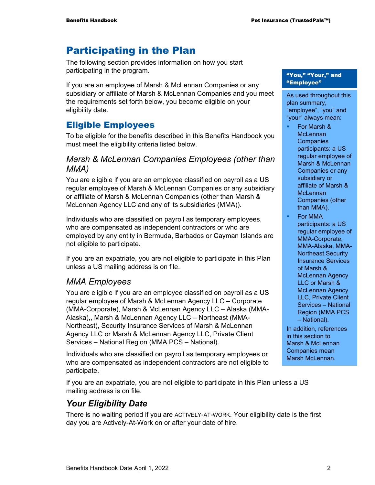## Participating in the Plan

The following section provides information on how you start participating in the program.

If you are an employee of Marsh & McLennan Companies or any subsidiary or affiliate of Marsh & McLennan Companies and you meet the requirements set forth below, you become eligible on your eligibility date.

### Eligible Employees

To be eligible for the benefits described in this Benefits Handbook you must meet the eligibility criteria listed below.

#### *Marsh & McLennan Companies Employees (other than MMA)*

You are eligible if you are an employee classified on payroll as a US regular employee of Marsh & McLennan Companies or any subsidiary or affiliate of Marsh & McLennan Companies (other than Marsh & McLennan Agency LLC and any of its subsidiaries (MMA)).

Individuals who are classified on payroll as temporary employees, who are compensated as independent contractors or who are employed by any entity in Bermuda, Barbados or Cayman Islands are not eligible to participate.

If you are an expatriate, you are not eligible to participate in this Plan unless a US mailing address is on file.

#### *MMA Employees*

You are eligible if you are an employee classified on payroll as a US regular employee of Marsh & McLennan Agency LLC – Corporate (MMA-Corporate), Marsh & McLennan Agency LLC – Alaska (MMA-Alaska),, Marsh & McLennan Agency LLC – Northeast (MMA-Northeast), Security Insurance Services of Marsh & McLennan Agency LLC or Marsh & McLennan Agency LLC, Private Client Services – National Region (MMA PCS – National).

Individuals who are classified on payroll as temporary employees or who are compensated as independent contractors are not eligible to participate.

If you are an expatriate, you are not eligible to participate in this Plan unless a US mailing address is on file.

#### *Your Eligibility Date*

There is no waiting period if you are ACTIVELY-AT-WORK. Your eligibility date is the first day you are Actively-At-Work on or after your date of hire.

#### "You," "Your," and "Employee"

As used throughout this plan summary, "employee", "you" and "your" always mean:

- For Marsh & **McLennan Companies** participants: a US regular employee of Marsh & McLennan Companies or any subsidiary or affiliate of Marsh & **McLennan** Companies (other than MMA).
- For MMA participants: a US regular employee of MMA-Corporate, MMA-Alaska, MMA-Northeast,Security Insurance Services of Marsh & McLennan Agency LLC or Marsh & McLennan Agency LLC, Private Client Services – National Region (MMA PCS – National).

In addition, references in this section to Marsh & McLennan Companies mean Marsh McLennan.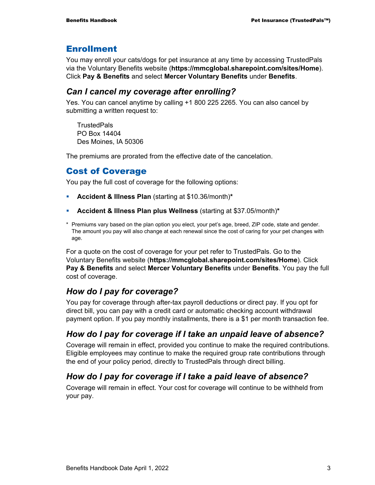#### Enrollment

You may enroll your cats/dogs for pet insurance at any time by accessing TrustedPals via the Voluntary Benefits website (**https://mmcglobal.sharepoint.com/sites/Home**). Click **Pay & Benefits** and select **Mercer Voluntary Benefits** under **Benefits**.

#### *Can I cancel my coverage after enrolling?*

Yes. You can cancel anytime by calling +1 800 225 2265. You can also cancel by submitting a written request to:

**TrustedPals** PO Box 14404 Des Moines, IA 50306

The premiums are prorated from the effective date of the cancelation.

#### Cost of Coverage

You pay the full cost of coverage for the following options:

- **Accident & Illness Plan** (starting at \$10.36/month)**\***
- **Accident & Illness Plan plus Wellness** (starting at \$37.05/month)**\***
- \* Premiums vary based on the plan option you elect, your pet's age, breed, ZIP code, state and gender. The amount you pay will also change at each renewal since the cost of caring for your pet changes with age.

For a quote on the cost of coverage for your pet refer to TrustedPals. Go to the Voluntary Benefits website (**https://mmcglobal.sharepoint.com/sites/Home**). Click **Pay & Benefits** and select **Mercer Voluntary Benefits** under **Benefits**. You pay the full cost of coverage.

#### *How do I pay for coverage?*

You pay for coverage through after-tax payroll deductions or direct pay. If you opt for direct bill, you can pay with a credit card or automatic checking account withdrawal payment option. If you pay monthly installments, there is a \$1 per month transaction fee.

#### *How do I pay for coverage if I take an unpaid leave of absence?*

Coverage will remain in effect, provided you continue to make the required contributions. Eligible employees may continue to make the required group rate contributions through the end of your policy period, directly to TrustedPals through direct billing.

#### *How do I pay for coverage if I take a paid leave of absence?*

Coverage will remain in effect. Your cost for coverage will continue to be withheld from your pay.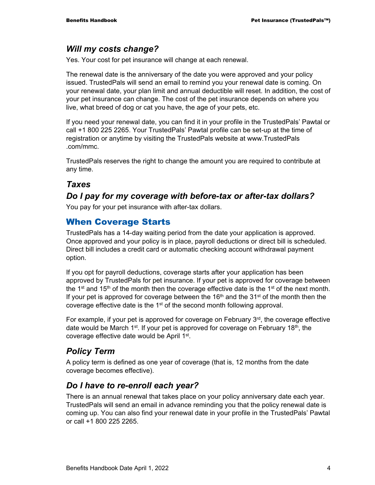#### *Will my costs change?*

Yes. Your cost for pet insurance will change at each renewal.

The renewal date is the anniversary of the date you were approved and your policy issued. TrustedPals will send an email to remind you your renewal date is coming. On your renewal date, your plan limit and annual deductible will reset. In addition, the cost of your pet insurance can change. The cost of the pet insurance depends on where you live, what breed of dog or cat you have, the age of your pets, etc.

If you need your renewal date, you can find it in your profile in the TrustedPals' Pawtal or call +1 800 225 2265. Your TrustedPals' Pawtal profile can be set-up at the time of registration or anytime by visiting the TrustedPals website at www.TrustedPals .com/mmc.

TrustedPals reserves the right to change the amount you are required to contribute at any time.

#### *Taxes*

#### *Do I pay for my coverage with before-tax or after-tax dollars?*

You pay for your pet insurance with after-tax dollars.

#### When Coverage Starts

TrustedPals has a 14-day waiting period from the date your application is approved. Once approved and your policy is in place, payroll deductions or direct bill is scheduled. Direct bill includes a credit card or automatic checking account withdrawal payment option.

If you opt for payroll deductions, coverage starts after your application has been approved by TrustedPals for pet insurance. If your pet is approved for coverage between the 1<sup>st</sup> and 15<sup>th</sup> of the month then the coverage effective date is the 1<sup>st</sup> of the next month. If your pet is approved for coverage between the  $16<sup>th</sup>$  and the  $31<sup>st</sup>$  of the month then the coverage effective date is the 1<sup>st</sup> of the second month following approval.

For example, if your pet is approved for coverage on February 3rd, the coverage effective date would be March 1<sup>st</sup>. If your pet is approved for coverage on February 18<sup>th</sup>, the coverage effective date would be April 1st.

#### *Policy Term*

A policy term is defined as one year of coverage (that is, 12 months from the date coverage becomes effective).

#### *Do I have to re-enroll each year?*

There is an annual renewal that takes place on your policy anniversary date each year. TrustedPals will send an email in advance reminding you that the policy renewal date is coming up. You can also find your renewal date in your profile in the TrustedPals' Pawtal or call +1 800 225 2265.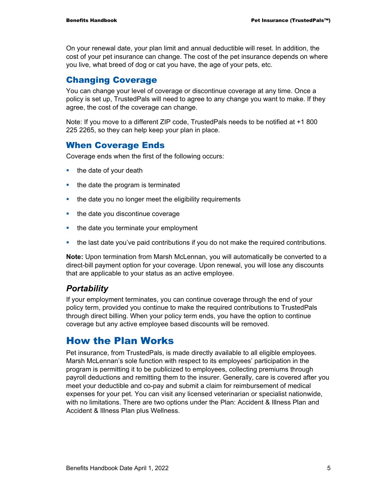On your renewal date, your plan limit and annual deductible will reset. In addition, the cost of your pet insurance can change. The cost of the pet insurance depends on where you live, what breed of dog or cat you have, the age of your pets, etc.

#### Changing Coverage

You can change your level of coverage or discontinue coverage at any time. Once a policy is set up, TrustedPals will need to agree to any change you want to make. If they agree, the cost of the coverage can change.

Note: If you move to a different ZIP code, TrustedPals needs to be notified at +1 800 225 2265, so they can help keep your plan in place.

#### When Coverage Ends

Coverage ends when the first of the following occurs:

- $\blacksquare$  the date of your death
- the date the program is terminated
- the date you no longer meet the eligibility requirements
- $\blacksquare$  the date you discontinue coverage
- the date you terminate your employment
- the last date you've paid contributions if you do not make the required contributions.

**Note:** Upon termination from Marsh McLennan, you will automatically be converted to a direct-bill payment option for your coverage. Upon renewal, you will lose any discounts that are applicable to your status as an active employee.

#### *Portability*

If your employment terminates, you can continue coverage through the end of your policy term, provided you continue to make the required contributions to TrustedPals through direct billing. When your policy term ends, you have the option to continue coverage but any active employee based discounts will be removed.

## How the Plan Works

Pet insurance, from TrustedPals, is made directly available to all eligible employees. Marsh McLennan's sole function with respect to its employees' participation in the program is permitting it to be publicized to employees, collecting premiums through payroll deductions and remitting them to the insurer. Generally, care is covered after you meet your deductible and co-pay and submit a claim for reimbursement of medical expenses for your pet. You can visit any licensed veterinarian or specialist nationwide, with no limitations. There are two options under the Plan: Accident & Illness Plan and Accident & Illness Plan plus Wellness.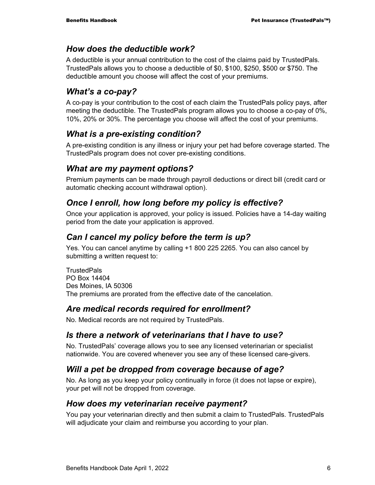#### *How does the deductible work?*

A deductible is your annual contribution to the cost of the claims paid by TrustedPals. TrustedPals allows you to choose a deductible of \$0, \$100, \$250, \$500 or \$750. The deductible amount you choose will affect the cost of your premiums.

#### *What's a co-pay?*

A co-pay is your contribution to the cost of each claim the TrustedPals policy pays, after meeting the deductible. The TrustedPals program allows you to choose a co-pay of 0%, 10%, 20% or 30%. The percentage you choose will affect the cost of your premiums.

#### *What is a pre-existing condition?*

A pre-existing condition is any illness or injury your pet had before coverage started. The TrustedPals program does not cover pre-existing conditions.

#### *What are my payment options?*

Premium payments can be made through payroll deductions or direct bill (credit card or automatic checking account withdrawal option).

#### *Once I enroll, how long before my policy is effective?*

Once your application is approved, your policy is issued. Policies have a 14-day waiting period from the date your application is approved.

#### *Can I cancel my policy before the term is up?*

Yes. You can cancel anytime by calling +1 800 225 2265. You can also cancel by submitting a written request to:

**TrustedPals** PO Box 14404 Des Moines, IA 50306 The premiums are prorated from the effective date of the cancelation.

#### *Are medical records required for enrollment?*

No. Medical records are not required by TrustedPals.

#### *Is there a network of veterinarians that I have to use?*

No. TrustedPals' coverage allows you to see any licensed veterinarian or specialist nationwide. You are covered whenever you see any of these licensed care-givers.

#### *Will a pet be dropped from coverage because of age?*

No. As long as you keep your policy continually in force (it does not lapse or expire), your pet will not be dropped from coverage.

#### *How does my veterinarian receive payment?*

You pay your veterinarian directly and then submit a claim to TrustedPals. TrustedPals will adjudicate your claim and reimburse you according to your plan.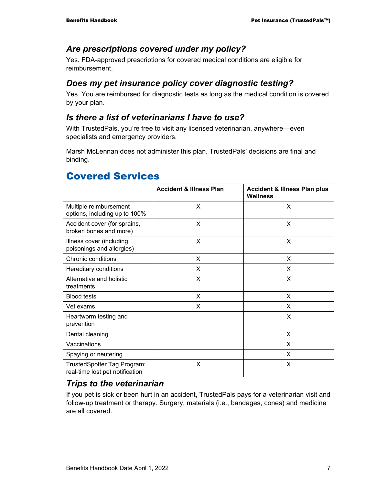#### *Are prescriptions covered under my policy?*

Yes. FDA-approved prescriptions for covered medical conditions are eligible for reimbursement.

### *Does my pet insurance policy cover diagnostic testing?*

Yes. You are reimbursed for diagnostic tests as long as the medical condition is covered by your plan.

#### *Is there a list of veterinarians I have to use?*

With TrustedPals, you're free to visit any licensed veterinarian, anywhere—even specialists and emergency providers.

Marsh McLennan does not administer this plan. TrustedPals' decisions are final and binding.

|                                                                | <b>Accident &amp; Illness Plan</b> | <b>Accident &amp; Illness Plan plus</b><br><b>Wellness</b> |
|----------------------------------------------------------------|------------------------------------|------------------------------------------------------------|
| Multiple reimbursement<br>options, including up to 100%        | X                                  | X                                                          |
| Accident cover (for sprains,<br>broken bones and more)         | X                                  | X                                                          |
| Illness cover (including<br>poisonings and allergies)          | X                                  | X                                                          |
| Chronic conditions                                             | X                                  | X                                                          |
| Hereditary conditions                                          | X                                  | X                                                          |
| Alternative and holistic<br>treatments                         | X                                  | X                                                          |
| <b>Blood tests</b>                                             | X                                  | X                                                          |
| Vet exams                                                      | X                                  | X                                                          |
| Heartworm testing and<br>prevention                            |                                    | X                                                          |
| Dental cleaning                                                |                                    | X                                                          |
| Vaccinations                                                   |                                    | X                                                          |
| Spaying or neutering                                           |                                    | X                                                          |
| TrustedSpotter Tag Program:<br>real-time lost pet notification | X                                  | X                                                          |

## Covered Services

#### *Trips to the veterinarian*

If you pet is sick or been hurt in an accident, TrustedPals pays for a veterinarian visit and follow-up treatment or therapy. Surgery, materials (i.e., bandages, cones) and medicine are all covered.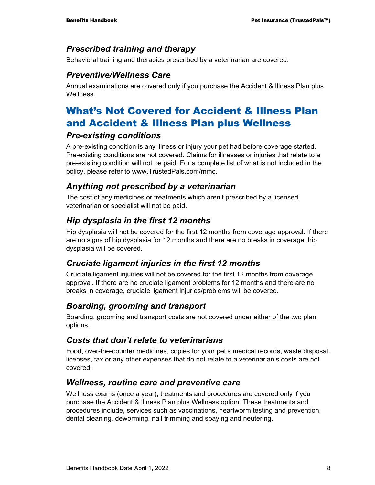#### *Prescribed training and therapy*

Behavioral training and therapies prescribed by a veterinarian are covered.

#### *Preventive/Wellness Care*

Annual examinations are covered only if you purchase the Accident & Illness Plan plus **Wellness** 

## What's Not Covered for Accident & Illness Plan and Accident & Illness Plan plus Wellness

#### *Pre-existing conditions*

A pre-existing condition is any illness or injury your pet had before coverage started. Pre-existing conditions are not covered. Claims for illnesses or injuries that relate to a pre-existing condition will not be paid. For a complete list of what is not included in the policy, please refer to www.TrustedPals.com/mmc.

#### *Anything not prescribed by a veterinarian*

The cost of any medicines or treatments which aren't prescribed by a licensed veterinarian or specialist will not be paid.

#### *Hip dysplasia in the first 12 months*

Hip dysplasia will not be covered for the first 12 months from coverage approval. If there are no signs of hip dysplasia for 12 months and there are no breaks in coverage, hip dysplasia will be covered.

#### *Cruciate ligament injuries in the first 12 months*

Cruciate ligament injuiries will not be covered for the first 12 months from coverage approval. If there are no cruciate ligament problems for 12 months and there are no breaks in coverage, cruciate ligament injuries/problems will be covered.

#### *Boarding, grooming and transport*

Boarding, grooming and transport costs are not covered under either of the two plan options.

#### *Costs that don't relate to veterinarians*

Food, over-the-counter medicines, copies for your pet's medical records, waste disposal, licenses, tax or any other expenses that do not relate to a veterinarian's costs are not covered.

#### *Wellness, routine care and preventive care*

Wellness exams (once a year), treatments and procedures are covered only if you purchase the Accident & Illness Plan plus Wellness option. These treatments and procedures include, services such as vaccinations, heartworm testing and prevention, dental cleaning, deworming, nail trimming and spaying and neutering.